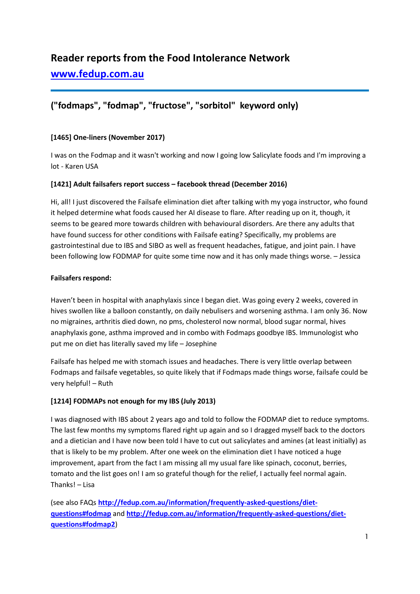# **Reader reports from the Food Intolerance Network**

**[www.fedup.com.au](http://www.fedup.com.au/)**

# **("fodmaps", "fodmap", "fructose", "sorbitol" keyword only)**

### **[1465] One-liners (November 2017)**

I was on the Fodmap and it wasn't working and now I going low Salicylate foods and I'm improving a lot - Karen USA

#### **[1421] Adult failsafers report success – facebook thread (December 2016)**

Hi, all! I just discovered the Failsafe elimination diet after talking with my yoga instructor, who found it helped determine what foods caused her AI disease to flare. After reading up on it, though, it seems to be geared more towards children with behavioural disorders. Are there any adults that have found success for other conditions with Failsafe eating? Specifically, my problems are gastrointestinal due to IBS and SIBO as well as frequent headaches, fatigue, and joint pain. I have been following low FODMAP for quite some time now and it has only made things worse. – Jessica

#### **Failsafers respond:**

Haven't been in hospital with anaphylaxis since I began diet. Was going every 2 weeks, covered in hives swollen like a balloon constantly, on daily nebulisers and worsening asthma. I am only 36. Now no migraines, arthritis died down, no pms, cholesterol now normal, blood sugar normal, hives anaphylaxis gone, asthma improved and in combo with Fodmaps goodbye IBS. Immunologist who put me on diet has literally saved my life – Josephine

Failsafe has helped me with stomach issues and headaches. There is very little overlap between Fodmaps and failsafe vegetables, so quite likely that if Fodmaps made things worse, failsafe could be very helpful! – Ruth

# **[1214] FODMAPs not enough for my IBS (July 2013)**

I was diagnosed with IBS about 2 years ago and told to follow the FODMAP diet to reduce symptoms. The last few months my symptoms flared right up again and so I dragged myself back to the doctors and a dietician and I have now been told I have to cut out salicylates and amines (at least initially) as that is likely to be my problem. After one week on the elimination diet I have noticed a huge improvement, apart from the fact I am missing all my usual fare like spinach, coconut, berries, tomato and the list goes on! I am so grateful though for the relief, I actually feel normal again. Thanks! – Lisa

(see also FAQs **[http://fedup.com.au/information/frequently-asked-questions/diet](http://fedup.com.au/information/frequently-asked-questions/diet-questions#fodmap)[questions#fodmap](http://fedup.com.au/information/frequently-asked-questions/diet-questions#fodmap)** and **[http://fedup.com.au/information/frequently-asked-questions/diet](http://fedup.com.au/information/frequently-asked-questions/diet-questions#fodmap2)[questions#fodmap2](http://fedup.com.au/information/frequently-asked-questions/diet-questions#fodmap2)**)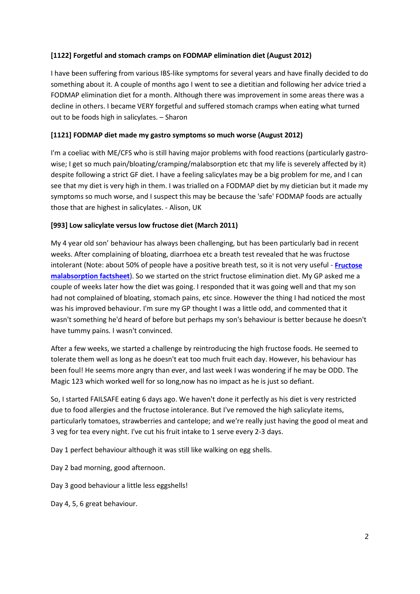#### **[1122] Forgetful and stomach cramps on FODMAP elimination diet (August 2012)**

I have been suffering from various IBS-like symptoms for several years and have finally decided to do something about it. A couple of months ago I went to see a dietitian and following her advice tried a FODMAP elimination diet for a month. Although there was improvement in some areas there was a decline in others. I became VERY forgetful and suffered stomach cramps when eating what turned out to be foods high in salicylates. – Sharon

#### **[1121] FODMAP diet made my gastro symptoms so much worse (August 2012)**

I'm a coeliac with ME/CFS who is still having major problems with food reactions (particularly gastrowise; I get so much pain/bloating/cramping/malabsorption etc that my life is severely affected by it) despite following a strict GF diet. I have a feeling salicylates may be a big problem for me, and I can see that my diet is very high in them. I was trialled on a FODMAP diet by my dietician but it made my symptoms so much worse, and I suspect this may be because the 'safe' FODMAP foods are actually those that are highest in salicylates. - Alison, UK

#### **[993] Low salicylate versus low fructose diet (March 2011)**

My 4 year old son' behaviour has always been challenging, but has been particularly bad in recent weeks. After complaining of bloating, diarrhoea etc a breath test revealed that he was fructose intolerant (Note: about 50% of people have a positive breath test, so it is not very useful - **[Fructose](https://www.fedup.com.au/factsheets/additive-and-natural-chemical-factsheets/fructose-malabsorption)  [malabsorption factsheet](https://www.fedup.com.au/factsheets/additive-and-natural-chemical-factsheets/fructose-malabsorption)**). So we started on the strict fructose elimination diet. My GP asked me a couple of weeks later how the diet was going. I responded that it was going well and that my son had not complained of bloating, stomach pains, etc since. However the thing I had noticed the most was his improved behaviour. I'm sure my GP thought I was a little odd, and commented that it wasn't something he'd heard of before but perhaps my son's behaviour is better because he doesn't have tummy pains. I wasn't convinced.

After a few weeks, we started a challenge by reintroducing the high fructose foods. He seemed to tolerate them well as long as he doesn't eat too much fruit each day. However, his behaviour has been foul! He seems more angry than ever, and last week I was wondering if he may be ODD. The Magic 123 which worked well for so long,now has no impact as he is just so defiant.

So, I started FAILSAFE eating 6 days ago. We haven't done it perfectly as his diet is very restricted due to food allergies and the fructose intolerance. But I've removed the high salicylate items, particularly tomatoes, strawberries and cantelope; and we're really just having the good ol meat and 3 veg for tea every night. I've cut his fruit intake to 1 serve every 2-3 days.

Day 1 perfect behaviour although it was still like walking on egg shells.

Day 2 bad morning, good afternoon.

Day 3 good behaviour a little less eggshells!

Day 4, 5, 6 great behaviour.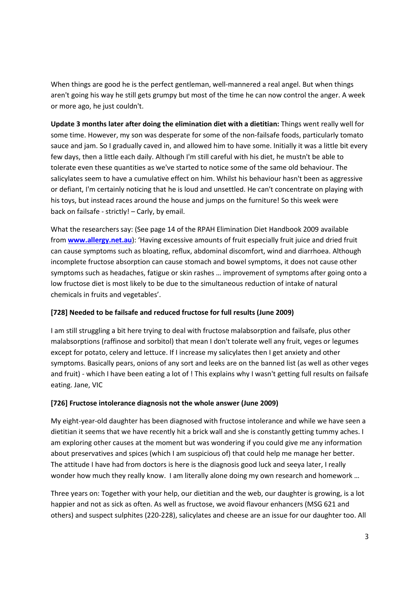When things are good he is the perfect gentleman, well-mannered a real angel. But when things aren't going his way he still gets grumpy but most of the time he can now control the anger. A week or more ago, he just couldn't.

**Update 3 months later after doing the elimination diet with a dietitian:** Things went really well for some time. However, my son was desperate for some of the non-failsafe foods, particularly tomato sauce and jam. So I gradually caved in, and allowed him to have some. Initially it was a little bit every few days, then a little each daily. Although I'm still careful with his diet, he mustn't be able to tolerate even these quantities as we've started to notice some of the same old behaviour. The salicylates seem to have a cumulative effect on him. Whilst his behaviour hasn't been as aggressive or defiant, I'm certainly noticing that he is loud and unsettled. He can't concentrate on playing with his toys, but instead races around the house and jumps on the furniture! So this week were back on failsafe - strictly! – Carly, by email.

What the researchers say: (See page 14 of the RPAH Elimination Diet Handbook 2009 available from **[www.allergy.net.au](http://www.allergy.net.au/)**): 'Having excessive amounts of fruit especially fruit juice and dried fruit can cause symptoms such as bloating, reflux, abdominal discomfort, wind and diarrhoea. Although incomplete fructose absorption can cause stomach and bowel symptoms, it does not cause other symptoms such as headaches, fatigue or skin rashes … improvement of symptoms after going onto a low fructose diet is most likely to be due to the simultaneous reduction of intake of natural chemicals in fruits and vegetables'.

#### **[728] Needed to be failsafe and reduced fructose for full results (June 2009)**

I am still struggling a bit here trying to deal with fructose malabsorption and failsafe, plus other malabsorptions (raffinose and sorbitol) that mean I don't tolerate well any fruit, veges or legumes except for potato, celery and lettuce. If I increase my salicylates then I get anxiety and other symptoms. Basically pears, onions of any sort and leeks are on the banned list (as well as other veges and fruit) - which I have been eating a lot of ! This explains why I wasn't getting full results on failsafe eating. Jane, VIC

#### **[726] Fructose intolerance diagnosis not the whole answer (June 2009)**

My eight-year-old daughter has been diagnosed with fructose intolerance and while we have seen a dietitian it seems that we have recently hit a brick wall and she is constantly getting tummy aches. I am exploring other causes at the moment but was wondering if you could give me any information about preservatives and spices (which I am suspicious of) that could help me manage her better. The attitude I have had from doctors is here is the diagnosis good luck and seeya later, I really wonder how much they really know. I am literally alone doing my own research and homework ...

Three years on: Together with your help, our dietitian and the web, our daughter is growing, is a lot happier and not as sick as often. As well as fructose, we avoid flavour enhancers (MSG 621 and others) and suspect sulphites (220-228), salicylates and cheese are an issue for our daughter too. All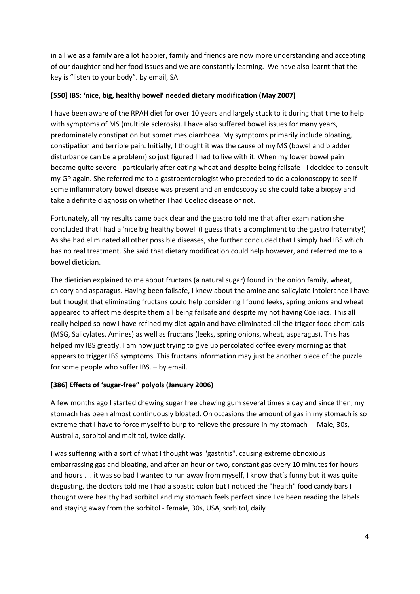in all we as a family are a lot happier, family and friends are now more understanding and accepting of our daughter and her food issues and we are constantly learning. We have also learnt that the key is "listen to your body". by email, SA.

#### **[550] IBS: 'nice, big, healthy bowel' needed dietary modification (May 2007)**

I have been aware of the RPAH diet for over 10 years and largely stuck to it during that time to help with symptoms of MS (multiple sclerosis). I have also suffered bowel issues for many years, predominately constipation but sometimes diarrhoea. My symptoms primarily include bloating, constipation and terrible pain. Initially, I thought it was the cause of my MS (bowel and bladder disturbance can be a problem) so just figured I had to live with it. When my lower bowel pain became quite severe - particularly after eating wheat and despite being failsafe - I decided to consult my GP again. She referred me to a gastroenterologist who preceded to do a colonoscopy to see if some inflammatory bowel disease was present and an endoscopy so she could take a biopsy and take a definite diagnosis on whether I had Coeliac disease or not.

Fortunately, all my results came back clear and the gastro told me that after examination she concluded that I had a 'nice big healthy bowel' (I guess that's a compliment to the gastro fraternity!) As she had eliminated all other possible diseases, she further concluded that I simply had IBS which has no real treatment. She said that dietary modification could help however, and referred me to a bowel dietician.

The dietician explained to me about fructans (a natural sugar) found in the onion family, wheat, chicory and asparagus. Having been failsafe, I knew about the amine and salicylate intolerance I have but thought that eliminating fructans could help considering I found leeks, spring onions and wheat appeared to affect me despite them all being failsafe and despite my not having Coeliacs. This all really helped so now I have refined my diet again and have eliminated all the trigger food chemicals (MSG, Salicylates, Amines) as well as fructans (leeks, spring onions, wheat, asparagus). This has helped my IBS greatly. I am now just trying to give up percolated coffee every morning as that appears to trigger IBS symptoms. This fructans information may just be another piece of the puzzle for some people who suffer IBS. – by email.

# **[386] Effects of 'sugar-free" polyols (January 2006)**

A few months ago I started chewing sugar free chewing gum several times a day and since then, my stomach has been almost continuously bloated. On occasions the amount of gas in my stomach is so extreme that I have to force myself to burp to relieve the pressure in my stomach - Male, 30s, Australia, sorbitol and maltitol, twice daily.

I was suffering with a sort of what I thought was "gastritis", causing extreme obnoxious embarrassing gas and bloating, and after an hour or two, constant gas every 10 minutes for hours and hours .... it was so bad I wanted to run away from myself, I know that's funny but it was quite disgusting, the doctors told me I had a spastic colon but I noticed the "health" food candy bars I thought were healthy had sorbitol and my stomach feels perfect since I've been reading the labels and staying away from the sorbitol - female, 30s, USA, sorbitol, daily